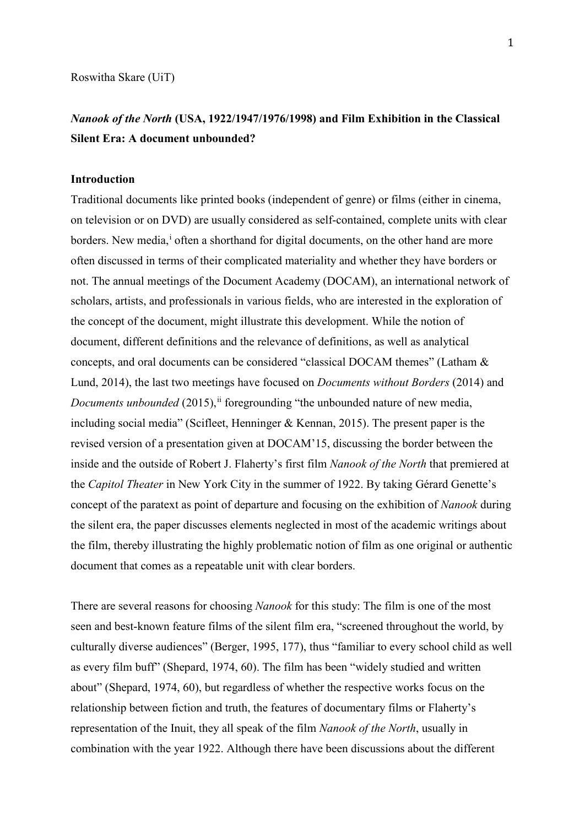Roswitha Skare (UiT)

# *Nanook of the North* **(USA, 1922/1947/1976/1998) and Film Exhibition in the Classical Silent Era: A document unbounded?**

### **Introduction**

Traditional documents like printed books (independent of genre) or films (either in cinema, on television or on DVD) are usually considered as self-contained, complete units with clear borders. New med[i](#page-14-0)a,<sup>i</sup> often a shorthand for digital documents, on the other hand are more often discussed in terms of their complicated materiality and whether they have borders or not. The annual meetings of the Document Academy (DOCAM), an international network of scholars, artists, and professionals in various fields, who are interested in the exploration of the concept of the document, might illustrate this development. While the notion of document, different definitions and the relevance of definitions, as well as analytical concepts, and oral documents can be considered "classical DOCAM themes" (Latham & Lund, 2014), the last two meetings have focused on *Documents without Borders* (2014) and *Documents unbounded* (2015), [ii](#page-14-1) foregrounding "the unbounded nature of new media, including social media" (Scifleet, Henninger & Kennan, 2015). The present paper is the revised version of a presentation given at DOCAM'15, discussing the border between the inside and the outside of Robert J. Flaherty's first film *Nanook of the North* that premiered at the *Capitol Theater* in New York City in the summer of 1922. By taking Gérard Genette's concept of the paratext as point of departure and focusing on the exhibition of *Nanook* during the silent era, the paper discusses elements neglected in most of the academic writings about the film, thereby illustrating the highly problematic notion of film as one original or authentic document that comes as a repeatable unit with clear borders.

There are several reasons for choosing *Nanook* for this study: The film is one of the most seen and best-known feature films of the silent film era, "screened throughout the world, by culturally diverse audiences" (Berger, 1995, 177), thus "familiar to every school child as well as every film buff" (Shepard, 1974, 60). The film has been "widely studied and written about" (Shepard, 1974, 60), but regardless of whether the respective works focus on the relationship between fiction and truth, the features of documentary films or Flaherty's representation of the Inuit, they all speak of the film *Nanook of the North*, usually in combination with the year 1922. Although there have been discussions about the different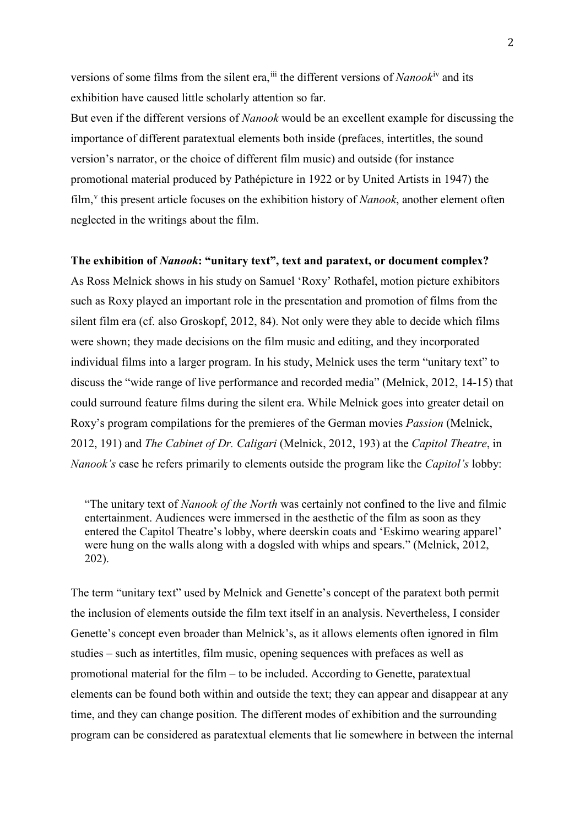versions of some films from the silent era, in the different versions of *Nanook*<sup>[iv](#page-14-3)</sup> and its exhibition have caused little scholarly attention so far.

But even if the different versions of *Nanook* would be an excellent example for discussing the importance of different paratextual elements both inside (prefaces, intertitles, the sound version's narrator, or the choice of different film music) and outside (for instance promotional material produced by Pathépicture in 1922 or by United Artists in 1947) the film,<sup>[v](#page-14-4)</sup> this present article focuses on the exhibition history of *Nanook*, another element often neglected in the writings about the film.

## **The exhibition of** *Nanook***: "unitary text", text and paratext, or document complex?**

As Ross Melnick shows in his study on Samuel 'Roxy' Rothafel, motion picture exhibitors such as Roxy played an important role in the presentation and promotion of films from the silent film era (cf. also Groskopf, 2012, 84). Not only were they able to decide which films were shown; they made decisions on the film music and editing, and they incorporated individual films into a larger program. In his study, Melnick uses the term "unitary text" to discuss the "wide range of live performance and recorded media" (Melnick, 2012, 14-15) that could surround feature films during the silent era. While Melnick goes into greater detail on Roxy's program compilations for the premieres of the German movies *Passion* (Melnick, 2012, 191) and *The Cabinet of Dr. Caligari* (Melnick, 2012, 193) at the *Capitol Theatre*, in *Nanook's* case he refers primarily to elements outside the program like the *Capitol's* lobby:

"The unitary text of *Nanook of the North* was certainly not confined to the live and filmic entertainment. Audiences were immersed in the aesthetic of the film as soon as they entered the Capitol Theatre's lobby, where deerskin coats and 'Eskimo wearing apparel' were hung on the walls along with a dogsled with whips and spears." (Melnick, 2012, 202).

The term "unitary text" used by Melnick and Genette's concept of the paratext both permit the inclusion of elements outside the film text itself in an analysis. Nevertheless, I consider Genette's concept even broader than Melnick's, as it allows elements often ignored in film studies – such as intertitles, film music, opening sequences with prefaces as well as promotional material for the film  $-$  to be included. According to Genette, paratextual elements can be found both within and outside the text; they can appear and disappear at any time, and they can change position. The different modes of exhibition and the surrounding program can be considered as paratextual elements that lie somewhere in between the internal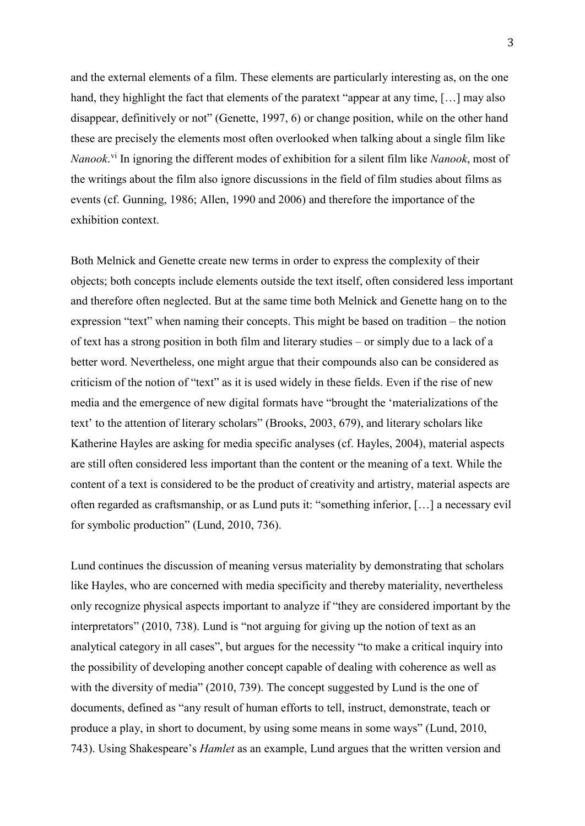and the external elements of a film. These elements are particularly interesting as, on the one hand, they highlight the fact that elements of the paratext "appear at any time, [...] may also disappear, definitively or not" (Genette, 1997, 6) or change position, while on the other hand these are precisely the elements most often overlooked when talking about a single film like *Nanook*. [vi](#page-14-5) In ignoring the different modes of exhibition for a silent film like *Nanook*, most of the writings about the film also ignore discussions in the field of film studies about films as events (cf. Gunning, 1986; Allen, 1990 and 2006) and therefore the importance of the exhibition context.

Both Melnick and Genette create new terms in order to express the complexity of their objects; both concepts include elements outside the text itself, often considered less important and therefore often neglected. But at the same time both Melnick and Genette hang on to the expression "text" when naming their concepts. This might be based on tradition – the notion of text has a strong position in both film and literary studies – or simply due to a lack of a better word. Nevertheless, one might argue that their compounds also can be considered as criticism of the notion of "text" as it is used widely in these fields. Even if the rise of new media and the emergence of new digital formats have "brought the 'materializations of the text' to the attention of literary scholars" (Brooks, 2003, 679), and literary scholars like Katherine Hayles are asking for media specific analyses (cf. Hayles, 2004), material aspects are still often considered less important than the content or the meaning of a text. While the content of a text is considered to be the product of creativity and artistry, material aspects are often regarded as craftsmanship, or as Lund puts it: "something inferior, […] a necessary evil for symbolic production" (Lund, 2010, 736).

Lund continues the discussion of meaning versus materiality by demonstrating that scholars like Hayles, who are concerned with media specificity and thereby materiality, nevertheless only recognize physical aspects important to analyze if "they are considered important by the interpretators" (2010, 738). Lund is "not arguing for giving up the notion of text as an analytical category in all cases", but argues for the necessity "to make a critical inquiry into the possibility of developing another concept capable of dealing with coherence as well as with the diversity of media" (2010, 739). The concept suggested by Lund is the one of documents, defined as "any result of human efforts to tell, instruct, demonstrate, teach or produce a play, in short to document, by using some means in some ways" (Lund, 2010, 743). Using Shakespeare's *Hamlet* as an example, Lund argues that the written version and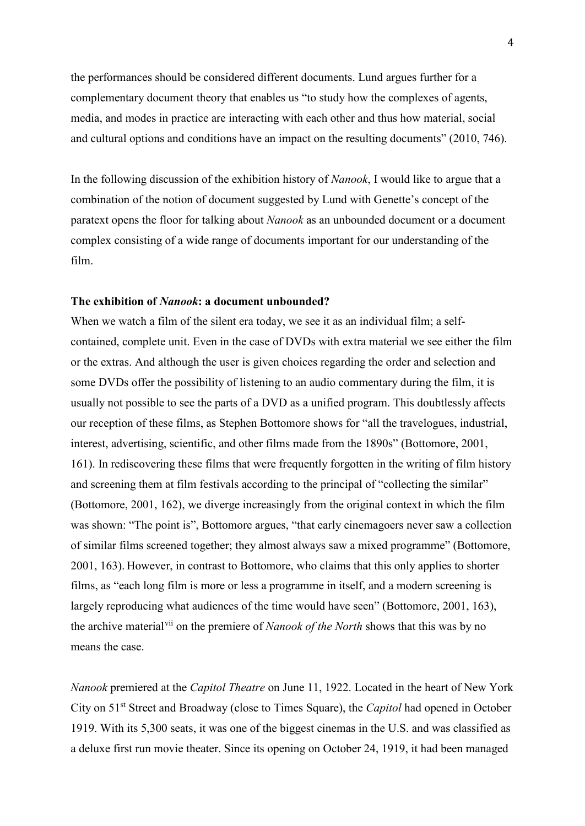the performances should be considered different documents. Lund argues further for a complementary document theory that enables us "to study how the complexes of agents, media, and modes in practice are interacting with each other and thus how material, social and cultural options and conditions have an impact on the resulting documents" (2010, 746).

In the following discussion of the exhibition history of *Nanook*, I would like to argue that a combination of the notion of document suggested by Lund with Genette's concept of the paratext opens the floor for talking about *Nanook* as an unbounded document or a document complex consisting of a wide range of documents important for our understanding of the film.

### **The exhibition of** *Nanook***: a document unbounded?**

When we watch a film of the silent era today, we see it as an individual film; a selfcontained, complete unit. Even in the case of DVDs with extra material we see either the film or the extras. And although the user is given choices regarding the order and selection and some DVDs offer the possibility of listening to an audio commentary during the film, it is usually not possible to see the parts of a DVD as a unified program. This doubtlessly affects our reception of these films, as Stephen Bottomore shows for "all the travelogues, industrial, interest, advertising, scientific, and other films made from the 1890s" (Bottomore, 2001, 161). In rediscovering these films that were frequently forgotten in the writing of film history and screening them at film festivals according to the principal of "collecting the similar" (Bottomore, 2001, 162), we diverge increasingly from the original context in which the film was shown: "The point is", Bottomore argues, "that early cinemagoers never saw a collection of similar films screened together; they almost always saw a mixed programme" (Bottomore, 2001, 163). However, in contrast to Bottomore, who claims that this only applies to shorter films, as "each long film is more or less a programme in itself, and a modern screening is largely reproducing what audiences of the time would have seen" (Bottomore, 2001, 163), the archive material[vii](#page-14-6) on the premiere of *Nanook of the North* shows that this was by no means the case.

*Nanook* premiered at the *Capitol Theatre* on June 11, 1922. Located in the heart of New York City on 51st Street and Broadway (close to Times Square), the *Capitol* had opened in October 1919. With its 5,300 seats, it was one of the biggest cinemas in the U.S. and was classified as a deluxe first run movie theater. Since its opening on October 24, 1919, it had been managed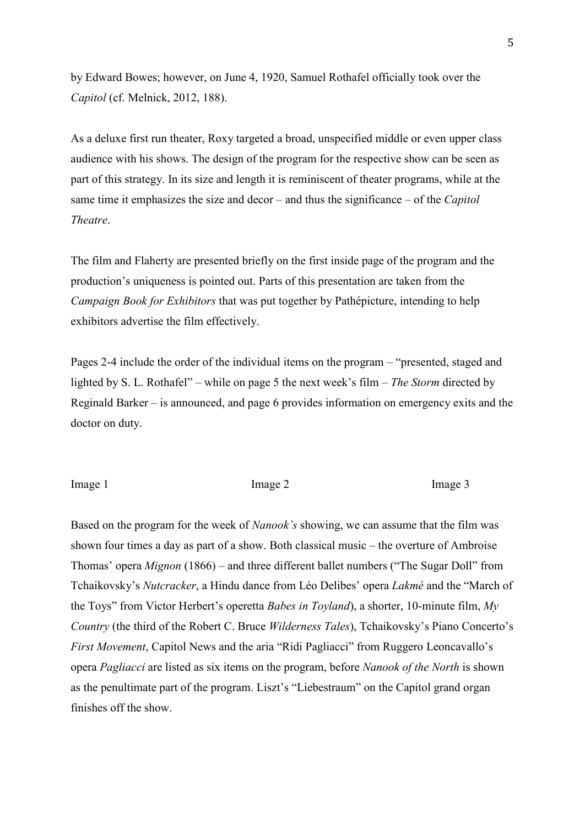by Edward Bowes; however, on June 4, 1920, Samuel Rothafel officially took over the *Capitol* (cf. Melnick, 2012, 188).

As a deluxe first run theater, Roxy targeted a broad, unspecified middle or even upper class audience with his shows. The design of the program for the respective show can be seen as part of this strategy. In its size and length it is reminiscent of theater programs, while at the same time it emphasizes the size and decor – and thus the significance – of the *Capitol Theatre*.

The film and Flaherty are presented briefly on the first inside page of the program and the production's uniqueness is pointed out. Parts of this presentation are taken from the *Campaign Book for Exhibitors* that was put together by Pathépicture, intending to help exhibitors advertise the film effectively.

Pages 2-4 include the order of the individual items on the program – "presented, staged and lighted by S. L. Rothafel" – while on page 5 the next week's film – *The Storm* directed by Reginald Barker – is announced, and page 6 provides information on emergency exits and the doctor on duty.

Image 1 and Image 2 Image 2 and Image 3

Based on the program for the week of *Nanook's* showing, we can assume that the film was shown four times a day as part of a show. Both classical music – the overture of Ambroise Thomas' opera *Mignon* (1866) – and three different ballet numbers ("The Sugar Doll" from Tchaikovsky's *Nutcracker*, a Hindu dance from Léo Delibes' opera *Lakmé* and the "March of the Toys" from Victor Herbert's operetta *Babes in Toyland*), a shorter, 10-minute film, *My Country* (the third of the Robert C. Bruce *Wilderness Tales*), Tchaikovsky's Piano Concerto's *First Movement*, Capitol News and the aria "Ridi Pagliacci" from [Ruggero Leoncavallo's](http://en.wikipedia.org/wiki/Ruggero_Leoncavallo) opera *Pagliacci* are listed as six items on the program, before *Nanook of the North* is shown as the penultimate part of the program. Liszt's "Liebestraum" on the Capitol grand organ finishes off the show.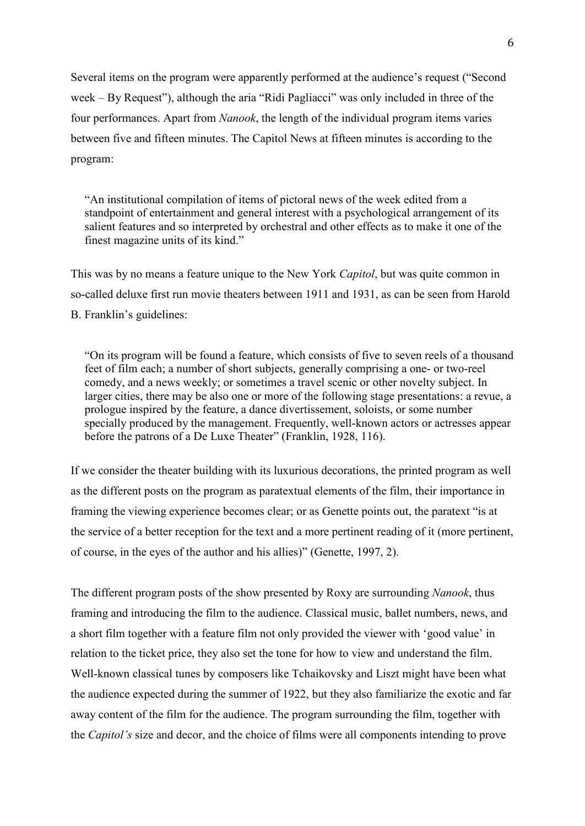Several items on the program were apparently performed at the audience's request ("Second week – By Request"), although the aria "Ridi Pagliacci" was only included in three of the four performances. Apart from *Nanook*, the length of the individual program items varies between five and fifteen minutes. The Capitol News at fifteen minutes is according to the program:

"An institutional compilation of items of pictoral news of the week edited from a standpoint of entertainment and general interest with a psychological arrangement of its salient features and so interpreted by orchestral and other effects as to make it one of the finest magazine units of its kind."

This was by no means a feature unique to the New York *Capitol*, but was quite common in so-called deluxe first run movie theaters between 1911 and 1931, as can be seen from Harold B. Franklin's guidelines:

"On its program will be found a feature, which consists of five to seven reels of a thousand feet of film each; a number of short subjects, generally comprising a one- or two-reel comedy, and a news weekly; or sometimes a travel scenic or other novelty subject. In larger cities, there may be also one or more of the following stage presentations: a revue, a prologue inspired by the feature, a dance divertissement, soloists, or some number specially produced by the management. Frequently, well-known actors or actresses appear before the patrons of a De Luxe Theater" (Franklin, 1928, 116).

If we consider the theater building with its luxurious decorations, the printed program as well as the different posts on the program as paratextual elements of the film, their importance in framing the viewing experience becomes clear; or as Genette points out, the paratext "is at the service of a better reception for the text and a more pertinent reading of it (more pertinent, of course, in the eyes of the author and his allies)" (Genette, 1997, 2).

The different program posts of the show presented by Roxy are surrounding *Nanook*, thus framing and introducing the film to the audience. Classical music, ballet numbers, news, and a short film together with a feature film not only provided the viewer with 'good value' in relation to the ticket price, they also set the tone for how to view and understand the film. Well-known classical tunes by composers like Tchaikovsky and Liszt might have been what the audience expected during the summer of 1922, but they also familiarize the exotic and far away content of the film for the audience. The program surrounding the film, together with the *Capitol's* size and decor, and the choice of films were all components intending to prove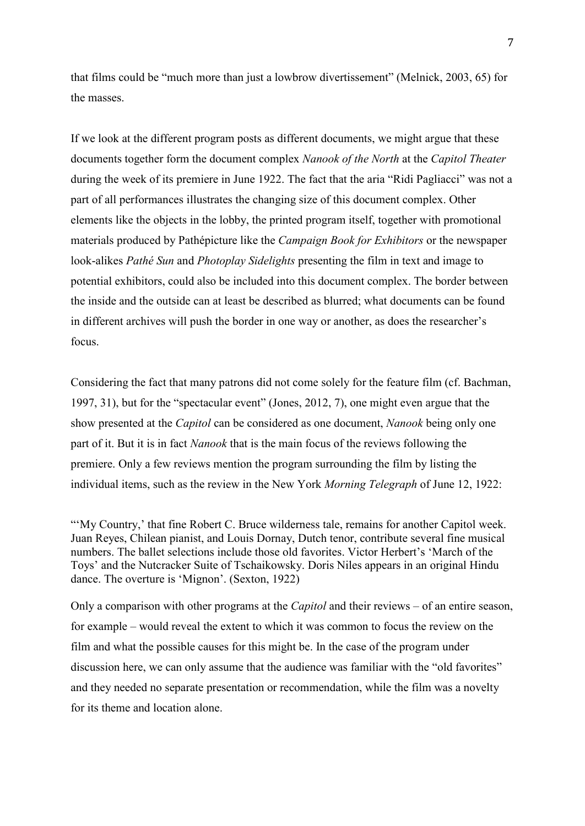that films could be "much more than just a lowbrow divertissement" (Melnick, 2003, 65) for the masses.

If we look at the different program posts as different documents, we might argue that these documents together form the document complex *Nanook of the North* at the *Capitol Theater* during the week of its premiere in June 1922. The fact that the aria "Ridi Pagliacci" was not a part of all performances illustrates the changing size of this document complex. Other elements like the objects in the lobby, the printed program itself, together with promotional materials produced by Pathépicture like the *Campaign Book for Exhibitors* or the newspaper look-alikes *Pathé Sun* and *Photoplay Sidelights* presenting the film in text and image to potential exhibitors, could also be included into this document complex. The border between the inside and the outside can at least be described as blurred; what documents can be found in different archives will push the border in one way or another, as does the researcher's focus.

Considering the fact that many patrons did not come solely for the feature film (cf. Bachman, 1997, 31), but for the "spectacular event" (Jones, 2012, 7), one might even argue that the show presented at the *Capitol* can be considered as one document, *Nanook* being only one part of it. But it is in fact *Nanook* that is the main focus of the reviews following the premiere. Only a few reviews mention the program surrounding the film by listing the individual items, such as the review in the New York *Morning Telegraph* of June 12, 1922:

Only a comparison with other programs at the *Capitol* and their reviews – of an entire season, for example – would reveal the extent to which it was common to focus the review on the film and what the possible causes for this might be. In the case of the program under discussion here, we can only assume that the audience was familiar with the "old favorites" and they needed no separate presentation or recommendation, while the film was a novelty for its theme and location alone.

<sup>&</sup>quot;'My Country,' that fine Robert C. Bruce wilderness tale, remains for another Capitol week. Juan Reyes, Chilean pianist, and Louis Dornay, Dutch tenor, contribute several fine musical numbers. The ballet selections include those old favorites. Victor Herbert's 'March of the Toys' and the Nutcracker Suite of Tschaikowsky. Doris Niles appears in an original Hindu dance. The overture is 'Mignon'. (Sexton, 1922)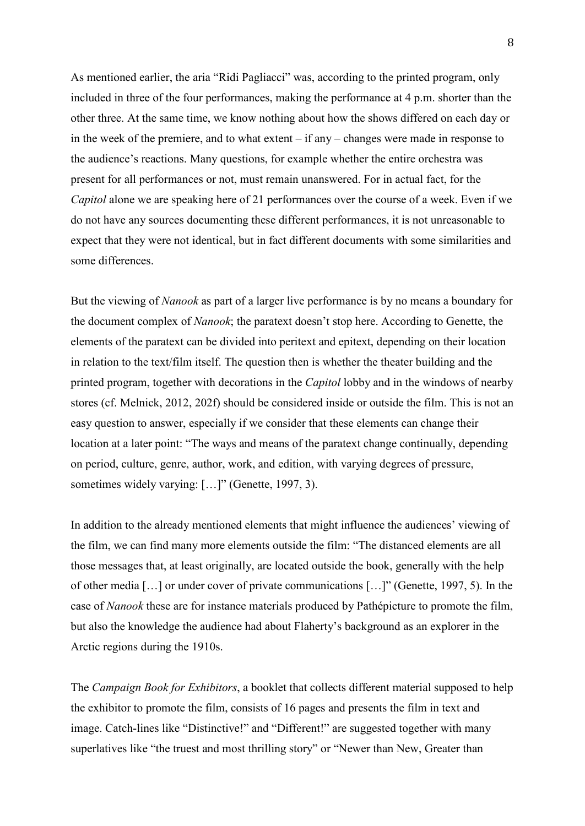As mentioned earlier, the aria "Ridi Pagliacci" was, according to the printed program, only included in three of the four performances, making the performance at 4 p.m. shorter than the other three. At the same time, we know nothing about how the shows differed on each day or in the week of the premiere, and to what extent – if any – changes were made in response to the audience's reactions. Many questions, for example whether the entire orchestra was present for all performances or not, must remain unanswered. For in actual fact, for the *Capitol* alone we are speaking here of 21 performances over the course of a week. Even if we do not have any sources documenting these different performances, it is not unreasonable to expect that they were not identical, but in fact different documents with some similarities and some differences.

But the viewing of *Nanook* as part of a larger live performance is by no means a boundary for the document complex of *Nanook*; the paratext doesn't stop here. According to Genette, the elements of the paratext can be divided into peritext and epitext, depending on their location in relation to the text/film itself. The question then is whether the theater building and the printed program, together with decorations in the *Capitol* lobby and in the windows of nearby stores (cf. Melnick, 2012, 202f) should be considered inside or outside the film. This is not an easy question to answer, especially if we consider that these elements can change their location at a later point: "The ways and means of the paratext change continually, depending on period, culture, genre, author, work, and edition, with varying degrees of pressure, sometimes widely varying: [...]" (Genette, 1997, 3).

In addition to the already mentioned elements that might influence the audiences' viewing of the film, we can find many more elements outside the film: "The distanced elements are all those messages that, at least originally, are located outside the book, generally with the help of other media […] or under cover of private communications […]" (Genette, 1997, 5). In the case of *Nanook* these are for instance materials produced by Pathépicture to promote the film, but also the knowledge the audience had about Flaherty's background as an explorer in the Arctic regions during the 1910s.

The *Campaign Book for Exhibitors*, a booklet that collects different material supposed to help the exhibitor to promote the film, consists of 16 pages and presents the film in text and image. Catch-lines like "Distinctive!" and "Different!" are suggested together with many superlatives like "the truest and most thrilling story" or "Newer than New, Greater than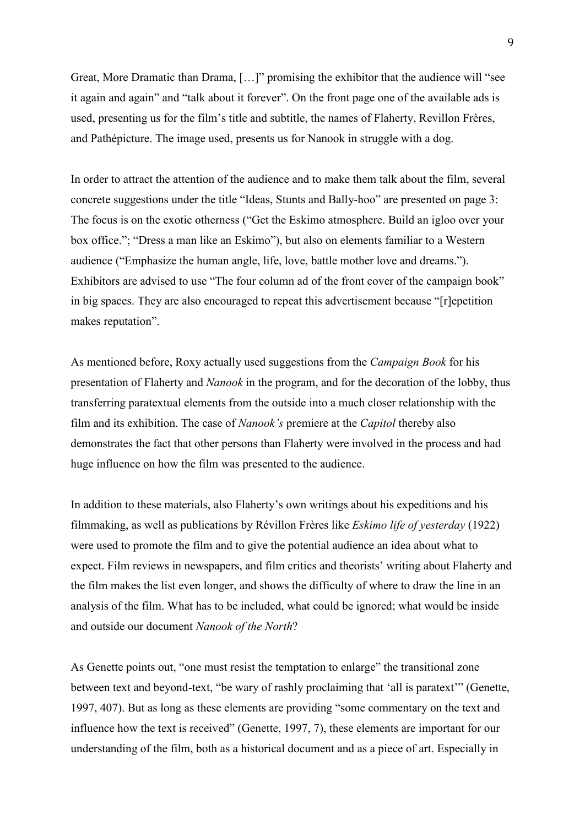Great, More Dramatic than Drama, […]" promising the exhibitor that the audience will "see it again and again" and "talk about it forever". On the front page one of the available ads is used, presenting us for the film's title and subtitle, the names of Flaherty, Revillon Frères, and Pathépicture. The image used, presents us for Nanook in struggle with a dog.

In order to attract the attention of the audience and to make them talk about the film, several concrete suggestions under the title "Ideas, Stunts and Bally-hoo" are presented on page 3: The focus is on the exotic otherness ("Get the Eskimo atmosphere. Build an igloo over your box office."; "Dress a man like an Eskimo"), but also on elements familiar to a Western audience ("Emphasize the human angle, life, love, battle mother love and dreams."). Exhibitors are advised to use "The four column ad of the front cover of the campaign book" in big spaces. They are also encouraged to repeat this advertisement because "[r]epetition makes reputation".

As mentioned before, Roxy actually used suggestions from the *Campaign Book* for his presentation of Flaherty and *Nanook* in the program, and for the decoration of the lobby, thus transferring paratextual elements from the outside into a much closer relationship with the film and its exhibition. The case of *Nanook's* premiere at the *Capitol* thereby also demonstrates the fact that other persons than Flaherty were involved in the process and had huge influence on how the film was presented to the audience.

In addition to these materials, also Flaherty's own writings about his expeditions and his filmmaking, as well as publications by Révillon Frères like *Eskimo life of yesterday* (1922) were used to promote the film and to give the potential audience an idea about what to expect. Film reviews in newspapers, and film critics and theorists' writing about Flaherty and the film makes the list even longer, and shows the difficulty of where to draw the line in an analysis of the film. What has to be included, what could be ignored; what would be inside and outside our document *Nanook of the North*?

As Genette points out, "one must resist the temptation to enlarge" the transitional zone between text and beyond-text, "be wary of rashly proclaiming that 'all is paratext'" (Genette, 1997, 407). But as long as these elements are providing "some commentary on the text and influence how the text is received" (Genette, 1997, 7), these elements are important for our understanding of the film, both as a historical document and as a piece of art. Especially in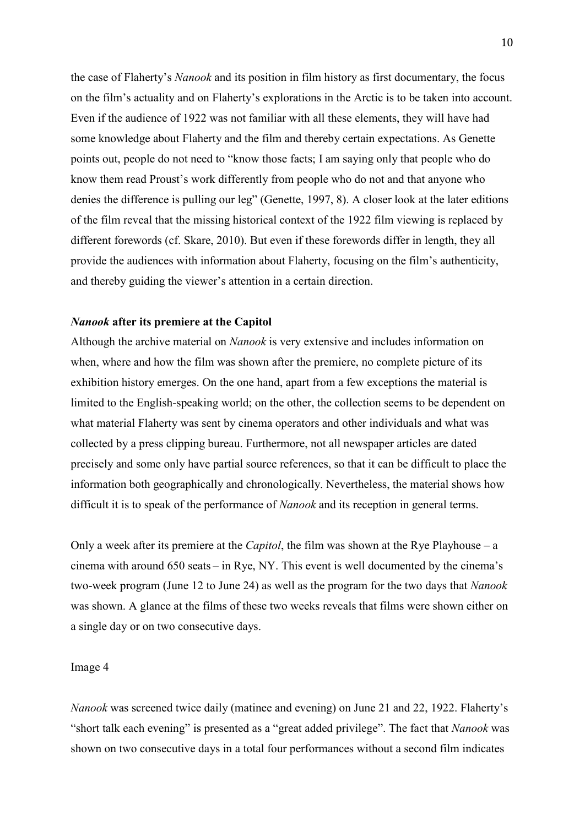the case of Flaherty's *Nanook* and its position in film history as first documentary, the focus on the film's actuality and on Flaherty's explorations in the Arctic is to be taken into account. Even if the audience of 1922 was not familiar with all these elements, they will have had some knowledge about Flaherty and the film and thereby certain expectations. As Genette points out, people do not need to "know those facts; I am saying only that people who do know them read Proust's work differently from people who do not and that anyone who denies the difference is pulling our leg" (Genette, 1997, 8). A closer look at the later editions of the film reveal that the missing historical context of the 1922 film viewing is replaced by different forewords (cf. Skare, 2010). But even if these forewords differ in length, they all provide the audiences with information about Flaherty, focusing on the film's authenticity, and thereby guiding the viewer's attention in a certain direction.

### *Nanook* **after its premiere at the Capitol**

Although the archive material on *Nanook* is very extensive and includes information on when, where and how the film was shown after the premiere, no complete picture of its exhibition history emerges. On the one hand, apart from a few exceptions the material is limited to the English-speaking world; on the other, the collection seems to be dependent on what material Flaherty was sent by cinema operators and other individuals and what was collected by a press clipping bureau. Furthermore, not all newspaper articles are dated precisely and some only have partial source references, so that it can be difficult to place the information both geographically and chronologically. Nevertheless, the material shows how difficult it is to speak of the performance of *Nanook* and its reception in general terms.

Only a week after its premiere at the *Capitol*, the film was shown at the Rye Playhouse – a cinema with around 650 seats – in Rye, NY. This event is well documented by the cinema's two-week program (June 12 to June 24) as well as the program for the two days that *Nanook* was shown. A glance at the films of these two weeks reveals that films were shown either on a single day or on two consecutive days.

### Image 4

*Nanook* was screened twice daily (matinee and evening) on June 21 and 22, 1922. Flaherty's "short talk each evening" is presented as a "great added privilege". The fact that *Nanook* was shown on two consecutive days in a total four performances without a second film indicates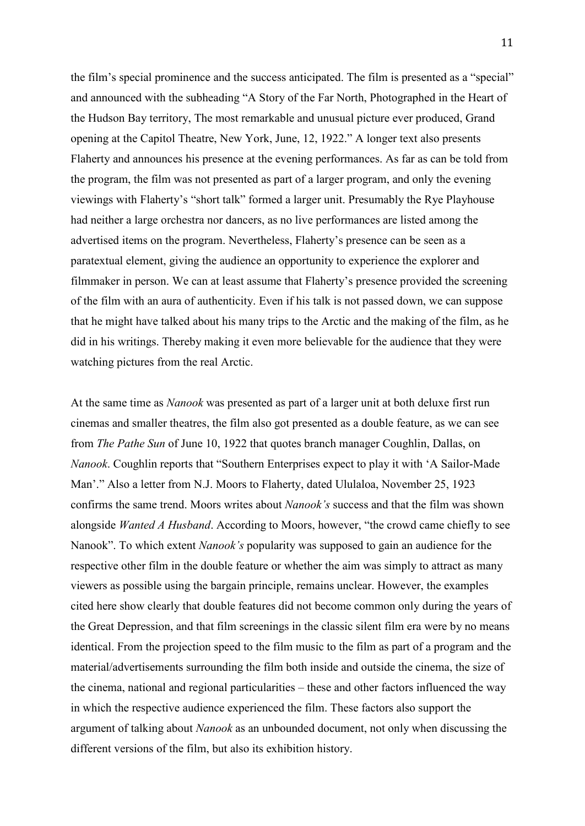the film's special prominence and the success anticipated. The film is presented as a "special" and announced with the subheading "A Story of the Far North, Photographed in the Heart of the Hudson Bay territory, The most remarkable and unusual picture ever produced, Grand opening at the Capitol Theatre, New York, June, 12, 1922." A longer text also presents Flaherty and announces his presence at the evening performances. As far as can be told from the program, the film was not presented as part of a larger program, and only the evening viewings with Flaherty's "short talk" formed a larger unit. Presumably the Rye Playhouse had neither a large orchestra nor dancers, as no live performances are listed among the advertised items on the program. Nevertheless, Flaherty's presence can be seen as a paratextual element, giving the audience an opportunity to experience the explorer and filmmaker in person. We can at least assume that Flaherty's presence provided the screening of the film with an aura of authenticity. Even if his talk is not passed down, we can suppose that he might have talked about his many trips to the Arctic and the making of the film, as he did in his writings. Thereby making it even more believable for the audience that they were watching pictures from the real Arctic.

At the same time as *Nanook* was presented as part of a larger unit at both deluxe first run cinemas and smaller theatres, the film also got presented as a double feature, as we can see from *The Pathe Sun* of June 10, 1922 that quotes branch manager Coughlin, Dallas, on *Nanook*. Coughlin reports that "Southern Enterprises expect to play it with 'A Sailor-Made Man'." Also a letter from N.J. Moors to Flaherty, dated Ululaloa, November 25, 1923 confirms the same trend. Moors writes about *Nanook's* success and that the film was shown alongside *Wanted A Husband*. According to Moors, however, "the crowd came chiefly to see Nanook". To which extent *Nanook's* popularity was supposed to gain an audience for the respective other film in the double feature or whether the aim was simply to attract as many viewers as possible using the bargain principle, remains unclear. However, the examples cited here show clearly that double features did not become common only during the years of the Great Depression, and that film screenings in the classic silent film era were by no means identical. From the projection speed to the film music to the film as part of a program and the material/advertisements surrounding the film both inside and outside the cinema, the size of the cinema, national and regional particularities – these and other factors influenced the way in which the respective audience experienced the film. These factors also support the argument of talking about *Nanook* as an unbounded document, not only when discussing the different versions of the film, but also its exhibition history.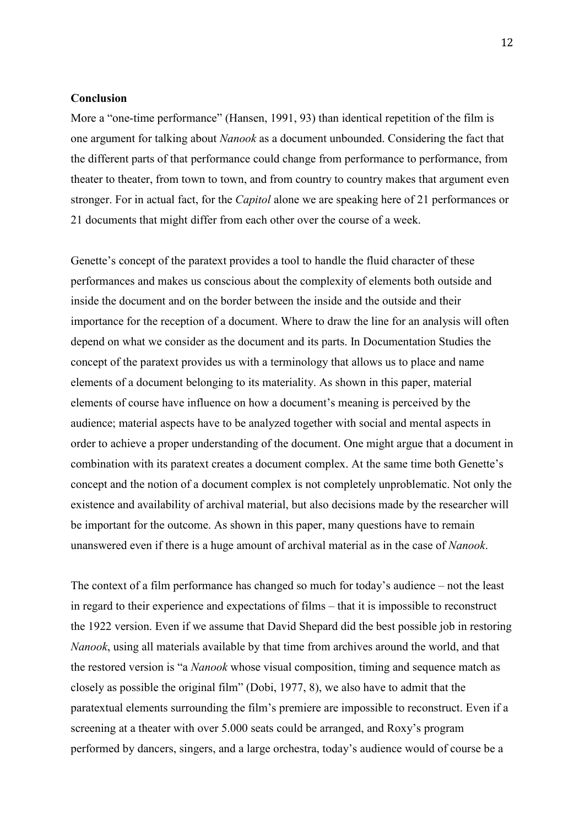### **Conclusion**

More a "one-time performance" (Hansen, 1991, 93) than identical repetition of the film is one argument for talking about *Nanook* as a document unbounded. Considering the fact that the different parts of that performance could change from performance to performance, from theater to theater, from town to town, and from country to country makes that argument even stronger. For in actual fact, for the *Capitol* alone we are speaking here of 21 performances or 21 documents that might differ from each other over the course of a week.

Genette's concept of the paratext provides a tool to handle the fluid character of these performances and makes us conscious about the complexity of elements both outside and inside the document and on the border between the inside and the outside and their importance for the reception of a document. Where to draw the line for an analysis will often depend on what we consider as the document and its parts. In Documentation Studies the concept of the paratext provides us with a terminology that allows us to place and name elements of a document belonging to its materiality. As shown in this paper, material elements of course have influence on how a document's meaning is perceived by the audience; material aspects have to be analyzed together with social and mental aspects in order to achieve a proper understanding of the document. One might argue that a document in combination with its paratext creates a document complex. At the same time both Genette's concept and the notion of a document complex is not completely unproblematic. Not only the existence and availability of archival material, but also decisions made by the researcher will be important for the outcome. As shown in this paper, many questions have to remain unanswered even if there is a huge amount of archival material as in the case of *Nanook*.

The context of a film performance has changed so much for today's audience – not the least in regard to their experience and expectations of films – that it is impossible to reconstruct the 1922 version. Even if we assume that David Shepard did the best possible job in restoring *Nanook*, using all materials available by that time from archives around the world, and that the restored version is "a *Nanook* whose visual composition, timing and sequence match as closely as possible the original film" (Dobi, 1977, 8), we also have to admit that the paratextual elements surrounding the film's premiere are impossible to reconstruct. Even if a screening at a theater with over 5.000 seats could be arranged, and Roxy's program performed by dancers, singers, and a large orchestra, today's audience would of course be a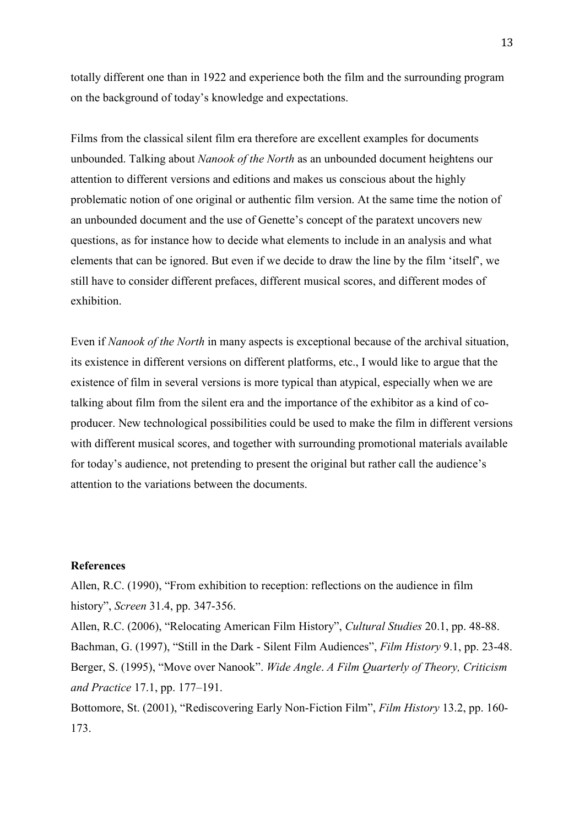totally different one than in 1922 and experience both the film and the surrounding program on the background of today's knowledge and expectations.

Films from the classical silent film era therefore are excellent examples for documents unbounded. Talking about *Nanook of the North* as an unbounded document heightens our attention to different versions and editions and makes us conscious about the highly problematic notion of one original or authentic film version. At the same time the notion of an unbounded document and the use of Genette's concept of the paratext uncovers new questions, as for instance how to decide what elements to include in an analysis and what elements that can be ignored. But even if we decide to draw the line by the film 'itself', we still have to consider different prefaces, different musical scores, and different modes of exhibition.

Even if *Nanook of the North* in many aspects is exceptional because of the archival situation, its existence in different versions on different platforms, etc., I would like to argue that the existence of film in several versions is more typical than atypical, especially when we are talking about film from the silent era and the importance of the exhibitor as a kind of coproducer. New technological possibilities could be used to make the film in different versions with different musical scores, and together with surrounding promotional materials available for today's audience, not pretending to present the original but rather call the audience's attention to the variations between the documents.

### **References**

Allen, R.C. (1990), "From exhibition to reception: reflections on the audience in film history", *Screen* 31.4, pp. 347-356.

Allen, R.C. (2006), "Relocating American Film History", *Cultural Studies* 20.1, pp. 48-88. Bachman, G. (1997), "Still in the Dark - Silent Film Audiences", *Film History* 9.1, pp. 23-48. Berger, S. (1995), "Move over Nanook". *Wide Angle*. *A Film Quarterly of Theory, Criticism and Practice* 17.1, pp. 177–191.

Bottomore, St. (2001), "Rediscovering Early Non-Fiction Film", *Film History* 13.2, pp. 160- 173.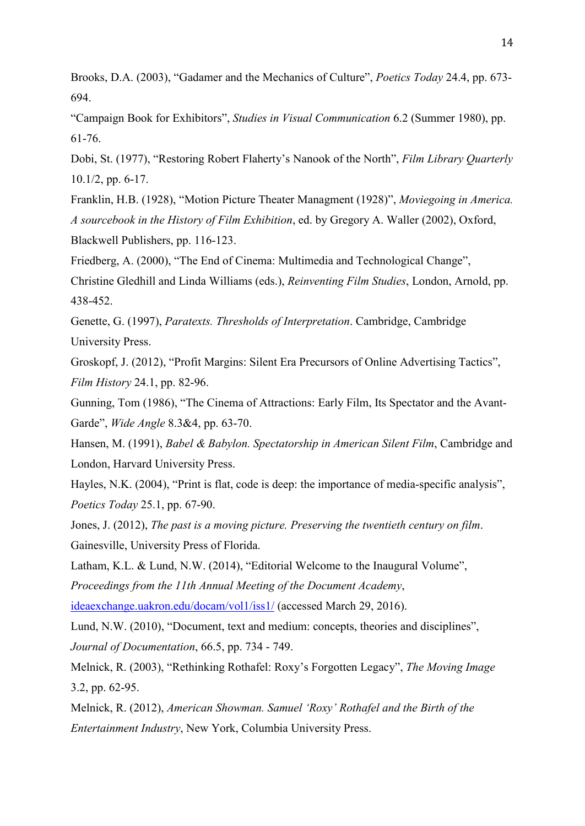Brooks, D.A. (2003), "Gadamer and the Mechanics of Culture", *Poetics Today* 24.4, pp. 673- 694.

"Campaign Book for Exhibitors", *Studies in Visual Communication* 6.2 (Summer 1980), pp. 61-76.

Dobi, St. (1977), "Restoring Robert Flaherty's Nanook of the North", *Film Library Quarterly* 10.1/2, pp. 6-17.

Franklin, H.B. (1928), "Motion Picture Theater Managment (1928)", *Moviegoing in America. A sourcebook in the History of Film Exhibition*, ed. by Gregory A. Waller (2002), Oxford, Blackwell Publishers, pp. 116-123.

Friedberg, A. (2000), "The End of Cinema: Multimedia and Technological Change",

Christine Gledhill and Linda Williams (eds.), *Reinventing Film Studies*, London, Arnold, pp. 438-452.

Genette, G. (1997), *Paratexts. Thresholds of Interpretation*. Cambridge, Cambridge University Press.

Groskopf, J. (2012), "Profit Margins: Silent Era Precursors of Online Advertising Tactics", *Film History* 24.1, pp. 82-96.

Gunning, Tom (1986), "The Cinema of Attractions: Early Film, Its Spectator and the Avant-Garde", *Wide Angle* 8.3&4, pp. 63-70.

Hansen, M. (1991), *Babel & Babylon. Spectatorship in American Silent Film*, Cambridge and London, Harvard University Press.

Hayles, N.K. (2004), "Print is flat, code is deep: the importance of media-specific analysis", *Poetics Today* 25.1, pp. 67-90.

Jones, J. (2012), *The past is a moving picture. Preserving the twentieth century on film*. Gainesville, University Press of Florida.

Latham, K.L. & Lund, N.W. (2014), "Editorial Welcome to the Inaugural Volume", *Proceedings from the 11th Annual Meeting of the Document Academy*, [ideaexchange.uakron.edu/docam/vol1/iss1/](http://ideaexchange.uakron.edu/docam/vol1/iss1/) (accessed March 29, 2016).

Lund, N.W. (2010), "Document, text and medium: concepts, theories and disciplines", *Journal of Documentation*, 66.5, pp. 734 - 749.

Melnick, R. (2003), "Rethinking Rothafel: Roxy's Forgotten Legacy", *The Moving Image* 3.2, pp. 62-95.

Melnick, R. (2012), *American Showman. Samuel 'Roxy' Rothafel and the Birth of the Entertainment Industry*, New York, Columbia University Press.